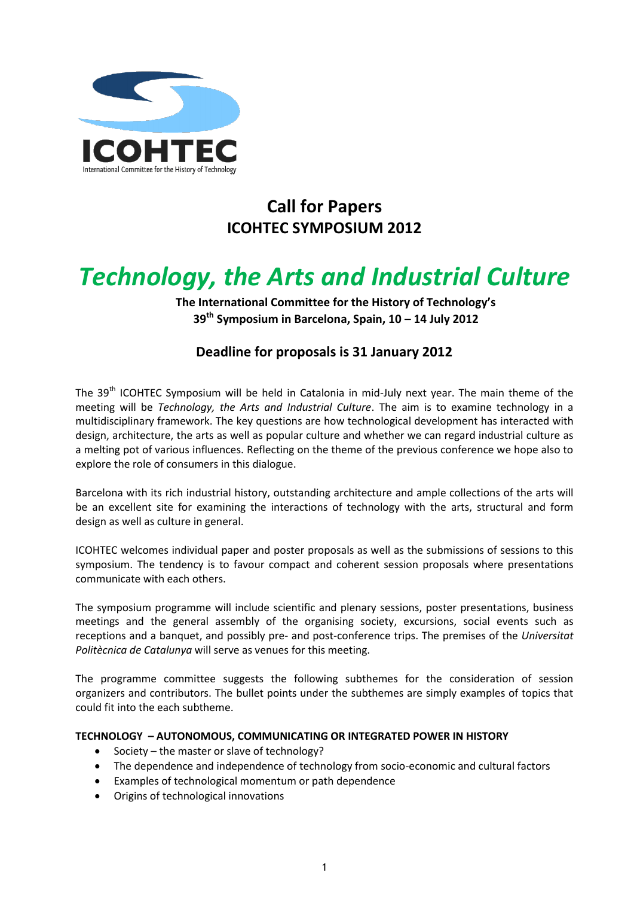

## **Call for Papers ICOHTEC SYMPOSIUM 2012**

# *Technology, the Arts and Industrial Culture*

**The International Committee for the History of Technology's 39th Symposium in Barcelona, Spain, 10 – 14 July 2012**

### **Deadline for proposals is 31 January 2012**

The 39<sup>th</sup> ICOHTEC Symposium will be held in Catalonia in mid-July next year. The main theme of the meeting will be *Technology, the Arts and Industrial Culture*. The aim is to examine technology in a multidisciplinary framework. The key questions are how technological development has interacted with design, architecture, the arts as well as popular culture and whether we can regard industrial culture as a melting pot of various influences. Reflecting on the theme of the previous conference we hope also to explore the role of consumers in this dialogue.

Barcelona with its rich industrial history, outstanding architecture and ample collections of the arts will be an excellent site for examining the interactions of technology with the arts, structural and form design as well as culture in general.

ICOHTEC welcomes individual paper and poster proposals as well as the submissions of sessions to this symposium. The tendency is to favour compact and coherent session proposals where presentations communicate with each others.

The symposium programme will include scientific and plenary sessions, poster presentations, business meetings and the general assembly of the organising society, excursions, social events such as receptions and a banquet, and possibly pre- and post-conference trips. The premises of the *Universitat Politècnica de Catalunya* will serve as venues for this meeting.

The programme committee suggests the following subthemes for the consideration of session organizers and contributors. The bullet points under the subthemes are simply examples of topics that could fit into the each subtheme.

#### **TECHNOLOGY – AUTONOMOUS, COMMUNICATING OR INTEGRATED POWER IN HISTORY**

- Society the master or slave of technology?
- The dependence and independence of technology from socio-economic and cultural factors
- Examples of technological momentum or path dependence
- Origins of technological innovations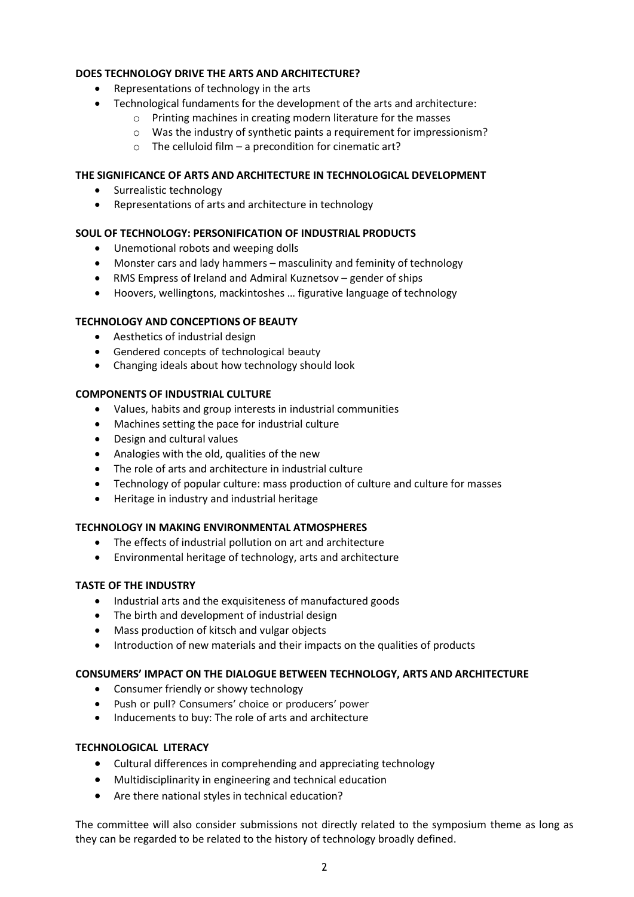#### **DOES TECHNOLOGY DRIVE THE ARTS AND ARCHITECTURE?**

- Representations of technology in the arts
- Technological fundaments for the development of the arts and architecture:
	- o Printing machines in creating modern literature for the masses
	- o Was the industry of synthetic paints a requirement for impressionism?
	- $\circ$  The celluloid film a precondition for cinematic art?

#### **THE SIGNIFICANCE OF ARTS AND ARCHITECTURE IN TECHNOLOGICAL DEVELOPMENT**

- Surrealistic technology
- Representations of arts and architecture in technology

#### **SOUL OF TECHNOLOGY: PERSONIFICATION OF INDUSTRIAL PRODUCTS**

- Unemotional robots and weeping dolls
- Monster cars and lady hammers masculinity and feminity of technology
- RMS Empress of Ireland and Admiral Kuznetsov gender of ships
- Hoovers, wellingtons, mackintoshes … figurative language of technology

#### **TECHNOLOGY AND CONCEPTIONS OF BEAUTY**

- Aesthetics of industrial design
- Gendered concepts of technological beauty
- Changing ideals about how technology should look

#### **COMPONENTS OF INDUSTRIAL CULTURE**

- Values, habits and group interests in industrial communities
- Machines setting the pace for industrial culture
- Design and cultural values
- Analogies with the old, qualities of the new
- The role of arts and architecture in industrial culture
- Technology of popular culture: mass production of culture and culture for masses
- Heritage in industry and industrial heritage

#### **TECHNOLOGY IN MAKING ENVIRONMENTAL ATMOSPHERES**

- The effects of industrial pollution on art and architecture
- Environmental heritage of technology, arts and architecture

#### **TASTE OF THE INDUSTRY**

- Industrial arts and the exquisiteness of manufactured goods
- The birth and development of industrial design
- Mass production of kitsch and vulgar objects
- Introduction of new materials and their impacts on the qualities of products

#### **CONSUMERS' IMPACT ON THE DIALOGUE BETWEEN TECHNOLOGY, ARTS AND ARCHITECTURE**

- Consumer friendly or showy technology
- Push or pull? Consumers' choice or producers' power
- Inducements to buy: The role of arts and architecture

#### **TECHNOLOGICAL LITERACY**

- Cultural differences in comprehending and appreciating technology
- Multidisciplinarity in engineering and technical education
- Are there national styles in technical education?

The committee will also consider submissions not directly related to the symposium theme as long as they can be regarded to be related to the history of technology broadly defined.